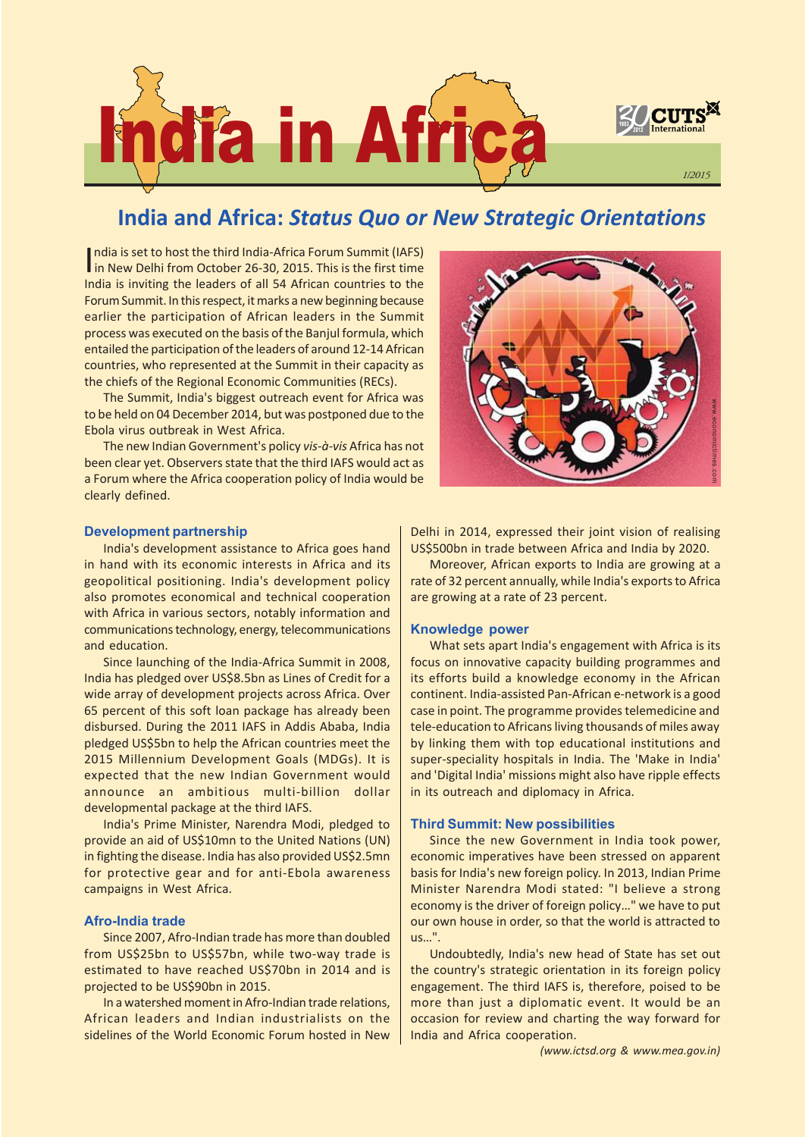

# India and Africa: Status Quo or New Strategic Orientations

India is set to host the third India-Africa Forum Summit (IAFS)<br>in New Delhi from October 26-30, 2015. This is the first time ndia is set to host the third India-Africa Forum Summit (IAFS) India is inviting the leaders of all 54 African countries to the Forum Summit. In this respect, it marks a new beginning because earlier the participation of African leaders in the Summit process was executed on the basis of the Banjul formula, which entailed the participation of the leaders of around 12-14 African countries, who represented at the Summit in their capacity as the chiefs of the Regional Economic Communities (RECs).

The Summit, India's biggest outreach event for Africa was to be held on 04 December 2014, but was postponed due to the Ebola virus outbreak in West Africa.

The new Indian Government's policy vis-à-vis Africa has not been clear yet. Observers state that the third IAFS would act as a Forum where the Africa cooperation policy of India would be clearly defined.



### Development partnership

India's development assistance to Africa goes hand in hand with its economic interests in Africa and its geopolitical positioning. India's development policy also promotes economical and technical cooperation with Africa in various sectors, notably information and communications technology, energy, telecommunications and education.

Since launching of the India-Africa Summit in 2008, India has pledged over US\$8.5bn as Lines of Credit for a wide array of development projects across Africa. Over 65 percent of this soft loan package has already been disbursed. During the 2011 IAFS in Addis Ababa, India pledged US\$5bn to help the African countries meet the 2015 Millennium Development Goals (MDGs). It is expected that the new Indian Government would announce an ambitious multi-billion dollar developmental package at the third IAFS.

India's Prime Minister, Narendra Modi, pledged to provide an aid of US\$10mn to the United Nations (UN) in fighting the disease. India has also provided US\$2.5mn for protective gear and for anti-Ebola awareness campaigns in West Africa.

## Afro-India trade

Since 2007, Afro-Indian trade has more than doubled from US\$25bn to US\$57bn, while two-way trade is estimated to have reached US\$70bn in 2014 and is projected to be US\$90bn in 2015.

In a watershed moment in Afro-Indian trade relations, African leaders and Indian industrialists on the sidelines of the World Economic Forum hosted in New Delhi in 2014, expressed their joint vision of realising US\$500bn in trade between Africa and India by 2020.

Moreover, African exports to India are growing at a rate of 32 percent annually, while India's exports to Africa are growing at a rate of 23 percent.

#### Knowledge power

What sets apart India's engagement with Africa is its focus on innovative capacity building programmes and its efforts build a knowledge economy in the African continent. India-assisted Pan-African e-network is a good case in point. The programme provides telemedicine and tele-education to Africans living thousands of miles away by linking them with top educational institutions and super-speciality hospitals in India. The 'Make in India' and 'Digital India' missions might also have ripple effects in its outreach and diplomacy in Africa.

#### Third Summit: New possibilities

Since the new Government in India took power, economic imperatives have been stressed on apparent basis for India's new foreign policy. In 2013, Indian Prime Minister Narendra Modi stated: "I believe a strong economy is the driver of foreign policy..." we have to put our own house in order, so that the world is attracted to us...".

Undoubtedly, India's new head of State has set out the country's strategic orientation in its foreign policy engagement. The third IAFS is, therefore, poised to be more than just a diplomatic event. It would be an occasion for review and charting the way forward for India and Africa cooperation.